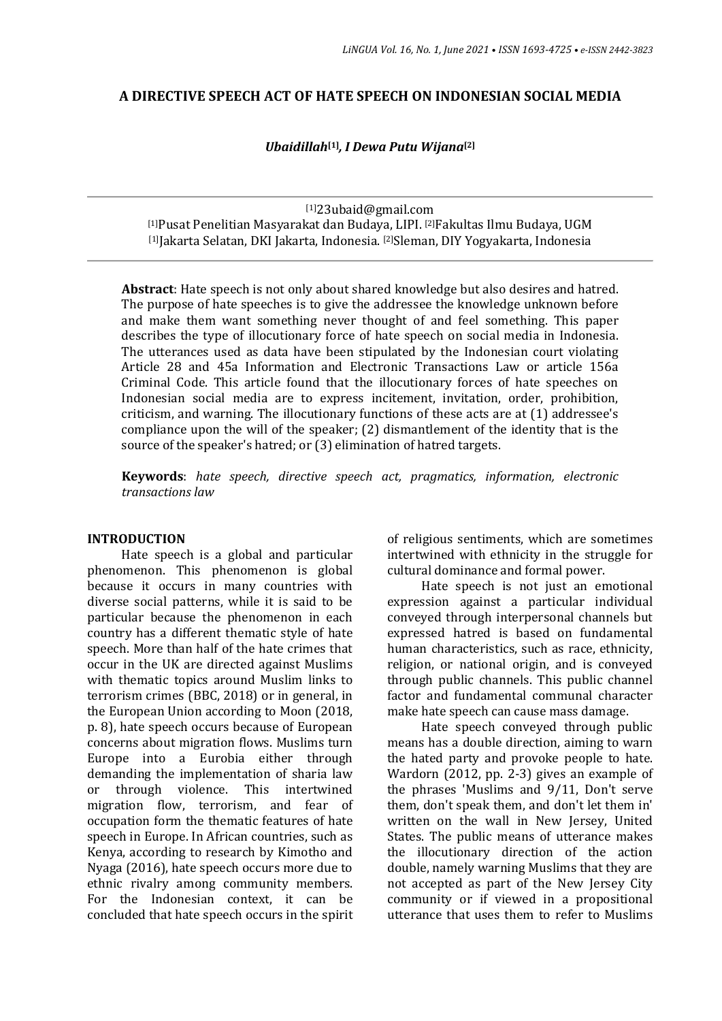### **A DIRECTIVE SPEECH ACT OF HATE SPEECH ON INDONESIAN SOCIAL MEDIA**

*Ubaidillah***[1]** *, I Dewa Putu Wijana***[2]**

[1]23ubaid@gmail.com [1]Pusat Penelitian Masyarakat dan Budaya, LIPI. [2]Fakultas Ilmu Budaya, UGM [1]Jakarta Selatan, DKI Jakarta, Indonesia. [2]Sleman, DIY Yogyakarta, Indonesia

**Abstract**: Hate speech is not only about shared knowledge but also desires and hatred. The purpose of hate speeches is to give the addressee the knowledge unknown before and make them want something never thought of and feel something. This paper describes the type of illocutionary force of hate speech on social media in Indonesia. The utterances used as data have been stipulated by the Indonesian court violating Article 28 and 45a Information and Electronic Transactions Law or article 156a Criminal Code. This article found that the illocutionary forces of hate speeches on Indonesian social media are to express incitement, invitation, order, prohibition, criticism, and warning. The illocutionary functions of these acts are at (1) addressee's compliance upon the will of the speaker; (2) dismantlement of the identity that is the source of the speaker's hatred; or (3) elimination of hatred targets.

**Keywords**: *hate speech, directive speech act, pragmatics, information, electronic transactions law*

#### **INTRODUCTION**

Hate speech is a global and particular phenomenon. This phenomenon is global because it occurs in many countries with diverse social patterns, while it is said to be particular because the phenomenon in each country has a different thematic style of hate speech. More than half of the hate crimes that occur in the UK are directed against Muslims with thematic topics around Muslim links to terrorism crimes (BBC, 2018) or in general, in the European Union according to Moon (2018, p. 8), hate speech occurs because of European concerns about migration flows. Muslims turn Europe into a Eurobia either through demanding the implementation of sharia law or through violence. This intertwined migration flow, terrorism, and fear of occupation form the thematic features of hate speech in Europe. In African countries, such as Kenya, according to research by Kimotho and Nyaga (2016), hate speech occurs more due to ethnic rivalry among community members. For the Indonesian context, it can be concluded that hate speech occurs in the spirit

of religious sentiments, which are sometimes intertwined with ethnicity in the struggle for cultural dominance and formal power.

Hate speech is not just an emotional expression against a particular individual conveyed through interpersonal channels but expressed hatred is based on fundamental human characteristics, such as race, ethnicity, religion, or national origin, and is conveyed through public channels. This public channel factor and fundamental communal character make hate speech can cause mass damage.

Hate speech conveyed through public means has a double direction, aiming to warn the hated party and provoke people to hate. Wardorn (2012, pp. 2-3) gives an example of the phrases 'Muslims and 9/11, Don't serve them, don't speak them, and don't let them in' written on the wall in New Jersey, United States. The public means of utterance makes the illocutionary direction of the action double, namely warning Muslims that they are not accepted as part of the New Jersey City community or if viewed in a propositional utterance that uses them to refer to Muslims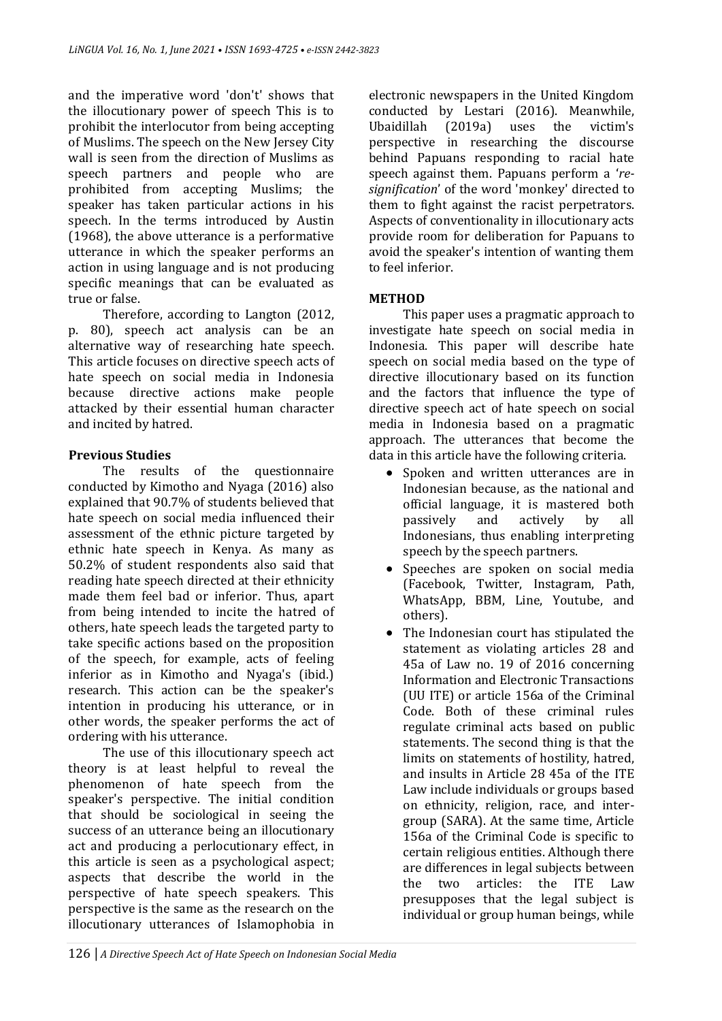and the imperative word 'don't' shows that the illocutionary power of speech This is to prohibit the interlocutor from being accepting of Muslims. The speech on the New Jersey City wall is seen from the direction of Muslims as speech partners and people who are prohibited from accepting Muslims; the speaker has taken particular actions in his speech. In the terms introduced by Austin (1968), the above utterance is a performative utterance in which the speaker performs an action in using language and is not producing specific meanings that can be evaluated as true or false.

Therefore, according to Langton (2012, p. 80), speech act analysis can be an alternative way of researching hate speech. This article focuses on directive speech acts of hate speech on social media in Indonesia because directive actions make people attacked by their essential human character and incited by hatred.

# **Previous Studies**

The results of the questionnaire conducted by Kimotho and Nyaga (2016) also explained that 90.7% of students believed that hate speech on social media influenced their assessment of the ethnic picture targeted by ethnic hate speech in Kenya. As many as 50.2% of student respondents also said that reading hate speech directed at their ethnicity made them feel bad or inferior. Thus, apart from being intended to incite the hatred of others, hate speech leads the targeted party to take specific actions based on the proposition of the speech, for example, acts of feeling inferior as in Kimotho and Nyaga's (ibid.) research. This action can be the speaker's intention in producing his utterance, or in other words, the speaker performs the act of ordering with his utterance.

The use of this illocutionary speech act theory is at least helpful to reveal the phenomenon of hate speech from the speaker's perspective. The initial condition that should be sociological in seeing the success of an utterance being an illocutionary act and producing a perlocutionary effect, in this article is seen as a psychological aspect; aspects that describe the world in the perspective of hate speech speakers. This perspective is the same as the research on the illocutionary utterances of Islamophobia in electronic newspapers in the United Kingdom conducted by Lestari (2016). Meanwhile, Ubaidillah (2019a) uses the victim's perspective in researching the discourse behind Papuans responding to racial hate speech against them. Papuans perform a '*resignification*' of the word 'monkey' directed to them to fight against the racist perpetrators. Aspects of conventionality in illocutionary acts provide room for deliberation for Papuans to avoid the speaker's intention of wanting them to feel inferior.

# **METHOD**

This paper uses a pragmatic approach to investigate hate speech on social media in Indonesia. This paper will describe hate speech on social media based on the type of directive illocutionary based on its function and the factors that influence the type of directive speech act of hate speech on social media in Indonesia based on a pragmatic approach. The utterances that become the data in this article have the following criteria.

- Spoken and written utterances are in Indonesian because, as the national and official language, it is mastered both passively and actively by all Indonesians, thus enabling interpreting speech by the speech partners.
- Speeches are spoken on social media (Facebook, Twitter, Instagram, Path, WhatsApp, BBM, Line, Youtube, and others).
- The Indonesian court has stipulated the statement as violating articles 28 and 45a of Law no. 19 of 2016 concerning Information and Electronic Transactions (UU ITE) or article 156a of the Criminal Code. Both of these criminal rules regulate criminal acts based on public statements. The second thing is that the limits on statements of hostility, hatred, and insults in Article 28 45a of the ITE Law include individuals or groups based on ethnicity, religion, race, and intergroup (SARA). At the same time, Article 156a of the Criminal Code is specific to certain religious entities. Although there are differences in legal subjects between the two articles: the ITE Law presupposes that the legal subject is individual or group human beings, while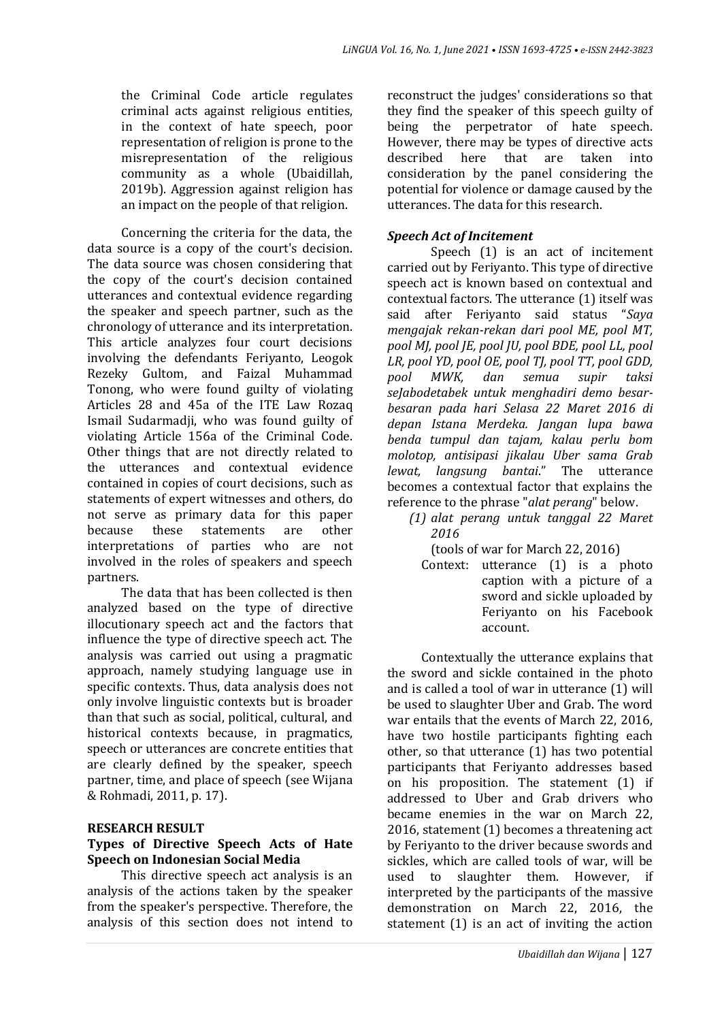the Criminal Code article regulates criminal acts against religious entities, in the context of hate speech, poor representation of religion is prone to the misrepresentation of the religious community as a whole (Ubaidillah, 2019b). Aggression against religion has an impact on the people of that religion.

Concerning the criteria for the data, the data source is a copy of the court's decision. The data source was chosen considering that the copy of the court's decision contained utterances and contextual evidence regarding the speaker and speech partner, such as the chronology of utterance and its interpretation. This article analyzes four court decisions involving the defendants Feriyanto, Leogok Rezeky Gultom, and Faizal Muhammad Tonong, who were found guilty of violating Articles 28 and 45a of the ITE Law Rozaq Ismail Sudarmadji, who was found guilty of violating Article 156a of the Criminal Code. Other things that are not directly related to the utterances and contextual evidence contained in copies of court decisions, such as statements of expert witnesses and others, do not serve as primary data for this paper because these statements are other interpretations of parties who are not involved in the roles of speakers and speech partners.

The data that has been collected is then analyzed based on the type of directive illocutionary speech act and the factors that influence the type of directive speech act. The analysis was carried out using a pragmatic approach, namely studying language use in specific contexts. Thus, data analysis does not only involve linguistic contexts but is broader than that such as social, political, cultural, and historical contexts because, in pragmatics, speech or utterances are concrete entities that are clearly defined by the speaker, speech partner, time, and place of speech (see Wijana & Rohmadi, 2011, p. 17).

#### **RESEARCH RESULT**

### **Types of Directive Speech Acts of Hate Speech on Indonesian Social Media**

This directive speech act analysis is an analysis of the actions taken by the speaker from the speaker's perspective. Therefore, the analysis of this section does not intend to reconstruct the judges' considerations so that they find the speaker of this speech guilty of being the perpetrator of hate speech. However, there may be types of directive acts described here that are taken into consideration by the panel considering the potential for violence or damage caused by the utterances. The data for this research.

#### *Speech Act of Incitement*

Speech (1) is an act of incitement carried out by Feriyanto. This type of directive speech act is known based on contextual and contextual factors. The utterance (1) itself was said after Feriyanto said status "*Saya mengajak rekan-rekan dari pool ME, pool MT, pool MJ, pool JE, pool JU, pool BDE, pool LL, pool LR, pool YD, pool OE, pool TJ, pool TT, pool GDD, pool MWK, dan semua supir taksi seJabodetabek untuk menghadiri demo besarbesaran pada hari Selasa 22 Maret 2016 di depan Istana Merdeka. Jangan lupa bawa benda tumpul dan tajam, kalau perlu bom molotop, antisipasi jikalau Uber sama Grab lewat, langsung bantai*." The utterance becomes a contextual factor that explains the reference to the phrase "*alat perang*" below.

- *(1) alat perang untuk tanggal 22 Maret 2016*
	- (tools of war for March 22, 2016)
	- Context: utterance (1) is a photo caption with a picture of a sword and sickle uploaded by Feriyanto on his Facebook account.

Contextually the utterance explains that the sword and sickle contained in the photo and is called a tool of war in utterance (1) will be used to slaughter Uber and Grab. The word war entails that the events of March 22, 2016, have two hostile participants fighting each other, so that utterance (1) has two potential participants that Feriyanto addresses based on his proposition. The statement (1) if addressed to Uber and Grab drivers who became enemies in the war on March 22, 2016, statement (1) becomes a threatening act by Feriyanto to the driver because swords and sickles, which are called tools of war, will be used to slaughter them. However, if interpreted by the participants of the massive demonstration on March 22, 2016, the statement (1) is an act of inviting the action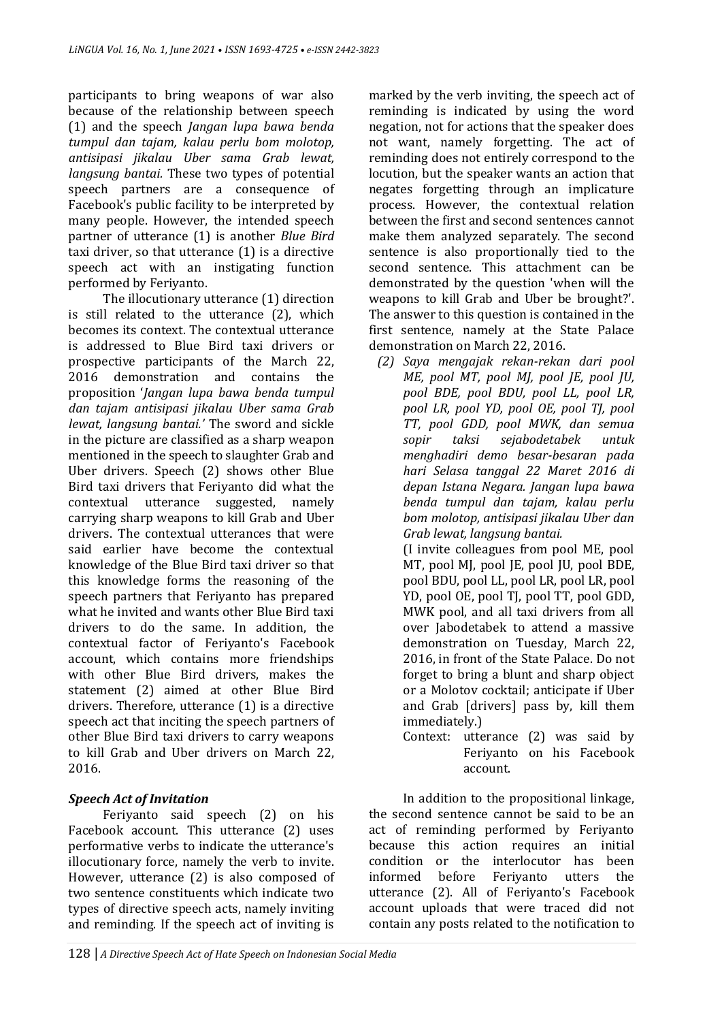participants to bring weapons of war also because of the relationship between speech (1) and the speech *Jangan lupa bawa benda tumpul dan tajam, kalau perlu bom molotop, antisipasi jikalau Uber sama Grab lewat, langsung bantai.* These two types of potential speech partners are a consequence of Facebook's public facility to be interpreted by many people. However, the intended speech partner of utterance (1) is another *Blue Bird* taxi driver, so that utterance (1) is a directive speech act with an instigating function performed by Feriyanto.

The illocutionary utterance (1) direction is still related to the utterance (2), which becomes its context. The contextual utterance is addressed to Blue Bird taxi drivers or prospective participants of the March 22, 2016 demonstration and contains the proposition '*Jangan lupa bawa benda tumpul dan tajam antisipasi jikalau Uber sama Grab lewat, langsung bantai.'* The sword and sickle in the picture are classified as a sharp weapon mentioned in the speech to slaughter Grab and Uber drivers. Speech (2) shows other Blue Bird taxi drivers that Feriyanto did what the contextual utterance suggested, namely carrying sharp weapons to kill Grab and Uber drivers. The contextual utterances that were said earlier have become the contextual knowledge of the Blue Bird taxi driver so that this knowledge forms the reasoning of the speech partners that Feriyanto has prepared what he invited and wants other Blue Bird taxi drivers to do the same. In addition, the contextual factor of Feriyanto's Facebook account, which contains more friendships with other Blue Bird drivers, makes the statement (2) aimed at other Blue Bird drivers. Therefore, utterance (1) is a directive speech act that inciting the speech partners of other Blue Bird taxi drivers to carry weapons to kill Grab and Uber drivers on March 22, 2016.

# *Speech Act of Invitation*

Feriyanto said speech (2) on his Facebook account. This utterance (2) uses performative verbs to indicate the utterance's illocutionary force, namely the verb to invite. However, utterance (2) is also composed of two sentence constituents which indicate two types of directive speech acts, namely inviting and reminding. If the speech act of inviting is

marked by the verb inviting, the speech act of reminding is indicated by using the word negation, not for actions that the speaker does not want, namely forgetting. The act of reminding does not entirely correspond to the locution, but the speaker wants an action that negates forgetting through an implicature process. However, the contextual relation between the first and second sentences cannot make them analyzed separately. The second sentence is also proportionally tied to the second sentence. This attachment can be demonstrated by the question 'when will the weapons to kill Grab and Uber be brought?'. The answer to this question is contained in the first sentence, namely at the State Palace demonstration on March 22, 2016.

*(2) Saya mengajak rekan-rekan dari pool ME, pool MT, pool MJ, pool JE, pool JU, pool BDE, pool BDU, pool LL, pool LR, pool LR, pool YD, pool OE, pool TJ, pool TT, pool GDD, pool MWK, dan semua sopir taksi sejabodetabek untuk menghadiri demo besar-besaran pada hari Selasa tanggal 22 Maret 2016 di depan Istana Negara. Jangan lupa bawa benda tumpul dan tajam, kalau perlu bom molotop, antisipasi jikalau Uber dan Grab lewat, langsung bantai.*

(I invite colleagues from pool ME, pool MT, pool MJ, pool JE, pool JU, pool BDE, pool BDU, pool LL, pool LR, pool LR, pool YD, pool OE, pool TJ, pool TT, pool GDD, MWK pool, and all taxi drivers from all over Jabodetabek to attend a massive demonstration on Tuesday, March 22, 2016, in front of the State Palace. Do not forget to bring a blunt and sharp object or a Molotov cocktail; anticipate if Uber and Grab [drivers] pass by, kill them immediately.)

Context: utterance (2) was said by Feriyanto on his Facebook account.

In addition to the propositional linkage, the second sentence cannot be said to be an act of reminding performed by Feriyanto because this action requires an initial condition or the interlocutor has been informed before Feriyanto utters the utterance (2). All of Feriyanto's Facebook account uploads that were traced did not contain any posts related to the notification to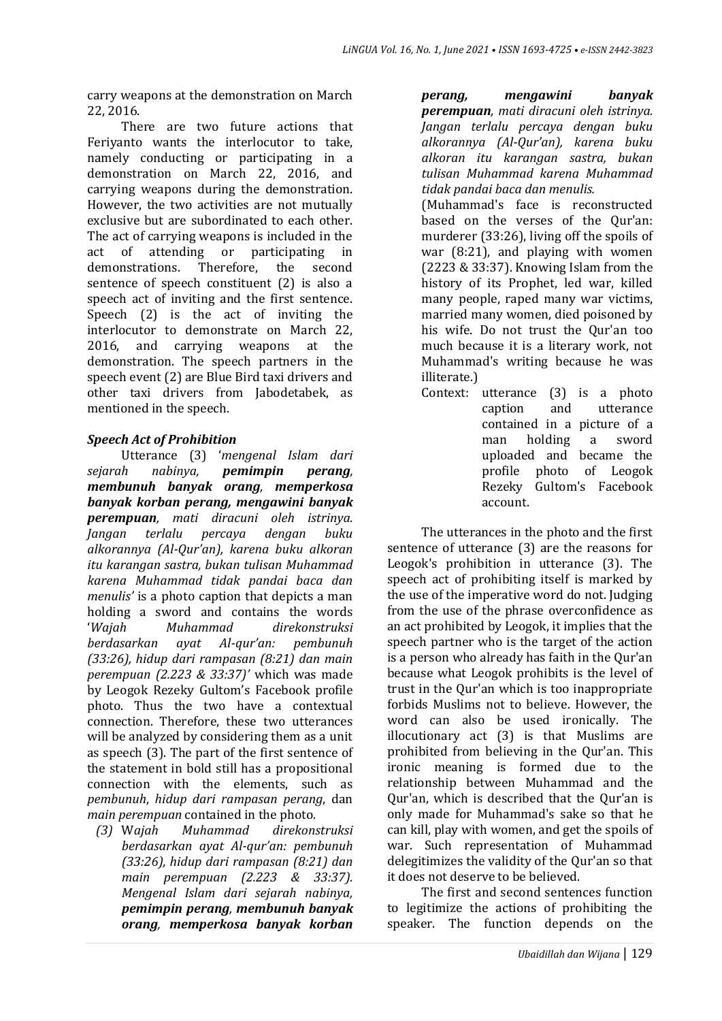carry weapons at the demonstration on March 22, 2016.

There are two future actions that Feriyanto wants the interlocutor to take, namely conducting or participating in a demonstration on March 22, 2016, and carrying weapons during the demonstration. However, the two activities are not mutually exclusive but are subordinated to each other. The act of carrying weapons is included in the act of attending or participating in demonstrations. Therefore, the second sentence of speech constituent (2) is also a speech act of inviting and the first sentence. Speech (2) is the act of inviting the interlocutor to demonstrate on March 22, 2016, and carrying weapons at the demonstration. The speech partners in the speech event (2) are Blue Bird taxi drivers and other taxi drivers from Jabodetabek, as mentioned in the speech.

# *Speech Act of Prohibition*

Utterance (3) '*mengenal Islam dari sejarah nabinya, pemimpin perang, membunuh banyak orang, memperkosa banyak korban perang, mengawini banyak perempuan, mati diracuni oleh istrinya. Jangan terlalu percaya dengan buku alkorannya (Al-Qur'an), karena buku alkoran itu karangan sastra, bukan tulisan Muhammad karena Muhammad tidak pandai baca dan menulis'* is a photo caption that depicts a man holding a sword and contains the words '*Wajah Muhammad direkonstruksi berdasarkan ayat Al-qur'an: pembunuh (33:26), hidup dari rampasan (8:21) dan main perempuan (2.223 & 33:37)'* which was made by Leogok Rezeky Gultom's Facebook profile photo. Thus the two have a contextual connection. Therefore, these two utterances will be analyzed by considering them as a unit as speech (3). The part of the first sentence of the statement in bold still has a propositional connection with the elements, such as *pembunuh*, *hidup dari rampasan perang*, dan *main perempuan* contained in the photo*.*

*(3)* W*ajah Muhammad direkonstruksi berdasarkan ayat Al-qur'an: pembunuh (33:26), hidup dari rampasan (8:21) dan main perempuan (2.223 & 33:37). Mengenal Islam dari sejarah nabinya, pemimpin perang, membunuh banyak orang, memperkosa banyak korban*  *perang, mengawini banyak perempuan, mati diracuni oleh istrinya. Jangan terlalu percaya dengan buku alkorannya (Al-Qur'an), karena buku alkoran itu karangan sastra, bukan tulisan Muhammad karena Muhammad tidak pandai baca dan menulis.*

(Muhammad's face is reconstructed based on the verses of the Qur'an: murderer (33:26), living off the spoils of war (8:21), and playing with women (2223 & 33:37). Knowing Islam from the history of its Prophet, led war, killed many people, raped many war victims, married many women, died poisoned by his wife. Do not trust the Qur'an too much because it is a literary work, not Muhammad's writing because he was illiterate.)

Context: utterance (3) is a photo caption and utterance contained in a picture of a man holding a sword uploaded and became the profile photo of Leogok Rezeky Gultom's Facebook account.

The utterances in the photo and the first sentence of utterance (3) are the reasons for Leogok's prohibition in utterance (3). The speech act of prohibiting itself is marked by the use of the imperative word do not. Judging from the use of the phrase overconfidence as an act prohibited by Leogok, it implies that the speech partner who is the target of the action is a person who already has faith in the Qur'an because what Leogok prohibits is the level of trust in the Qur'an which is too inappropriate forbids Muslims not to believe. However, the word can also be used ironically. The illocutionary act (3) is that Muslims are prohibited from believing in the Qur'an. This ironic meaning is formed due to the relationship between Muhammad and the Qur'an, which is described that the Qur'an is only made for Muhammad's sake so that he can kill, play with women, and get the spoils of war. Such representation of Muhammad delegitimizes the validity of the Qur'an so that it does not deserve to be believed.

The first and second sentences function to legitimize the actions of prohibiting the speaker. The function depends on the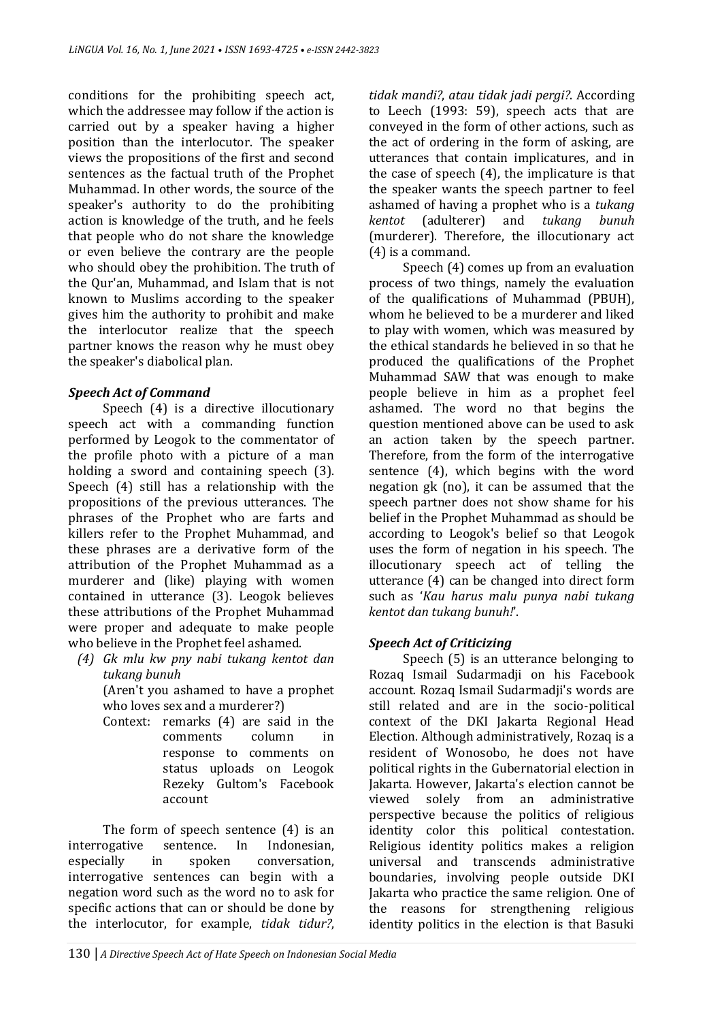conditions for the prohibiting speech act, which the addressee may follow if the action is carried out by a speaker having a higher position than the interlocutor. The speaker views the propositions of the first and second sentences as the factual truth of the Prophet Muhammad. In other words, the source of the speaker's authority to do the prohibiting action is knowledge of the truth, and he feels that people who do not share the knowledge or even believe the contrary are the people who should obey the prohibition. The truth of the Qur'an, Muhammad, and Islam that is not known to Muslims according to the speaker gives him the authority to prohibit and make the interlocutor realize that the speech partner knows the reason why he must obey the speaker's diabolical plan.

# *Speech Act of Command*

Speech (4) is a directive illocutionary speech act with a commanding function performed by Leogok to the commentator of the profile photo with a picture of a man holding a sword and containing speech (3). Speech (4) still has a relationship with the propositions of the previous utterances. The phrases of the Prophet who are farts and killers refer to the Prophet Muhammad, and these phrases are a derivative form of the attribution of the Prophet Muhammad as a murderer and (like) playing with women contained in utterance (3). Leogok believes these attributions of the Prophet Muhammad were proper and adequate to make people who believe in the Prophet feel ashamed.

*(4) Gk mlu kw pny nabi tukang kentot dan tukang bunuh*

(Aren't you ashamed to have a prophet who loves sex and a murderer?)

Context: remarks (4) are said in the comments column in response to comments on status uploads on Leogok Rezeky Gultom's Facebook account

The form of speech sentence (4) is an interrogative sentence. In Indonesian, especially in spoken conversation, interrogative sentences can begin with a negation word such as the word no to ask for specific actions that can or should be done by the interlocutor, for example, *tidak tidur?*, *tidak mandi?*, *atau tidak jadi pergi?*. According to Leech (1993: 59), speech acts that are conveyed in the form of other actions, such as the act of ordering in the form of asking, are utterances that contain implicatures, and in the case of speech (4), the implicature is that the speaker wants the speech partner to feel ashamed of having a prophet who is a *tukang kentot* (adulterer) and *tukang bunuh* (murderer). Therefore, the illocutionary act (4) is a command.

Speech (4) comes up from an evaluation process of two things, namely the evaluation of the qualifications of Muhammad (PBUH), whom he believed to be a murderer and liked to play with women, which was measured by the ethical standards he believed in so that he produced the qualifications of the Prophet Muhammad SAW that was enough to make people believe in him as a prophet feel ashamed. The word no that begins the question mentioned above can be used to ask an action taken by the speech partner. Therefore, from the form of the interrogative sentence (4), which begins with the word negation gk (no), it can be assumed that the speech partner does not show shame for his belief in the Prophet Muhammad as should be according to Leogok's belief so that Leogok uses the form of negation in his speech. The illocutionary speech act of telling the utterance (4) can be changed into direct form such as '*Kau harus malu punya nabi tukang kentot dan tukang bunuh!*'.

# *Speech Act of Criticizing*

Speech (5) is an utterance belonging to Rozaq Ismail Sudarmadji on his Facebook account. Rozaq Ismail Sudarmadji's words are still related and are in the socio-political context of the DKI Jakarta Regional Head Election. Although administratively, Rozaq is a resident of Wonosobo, he does not have political rights in the Gubernatorial election in Jakarta. However, Jakarta's election cannot be viewed solely from an administrative perspective because the politics of religious identity color this political contestation. Religious identity politics makes a religion universal and transcends administrative boundaries, involving people outside DKI Jakarta who practice the same religion. One of the reasons for strengthening religious identity politics in the election is that Basuki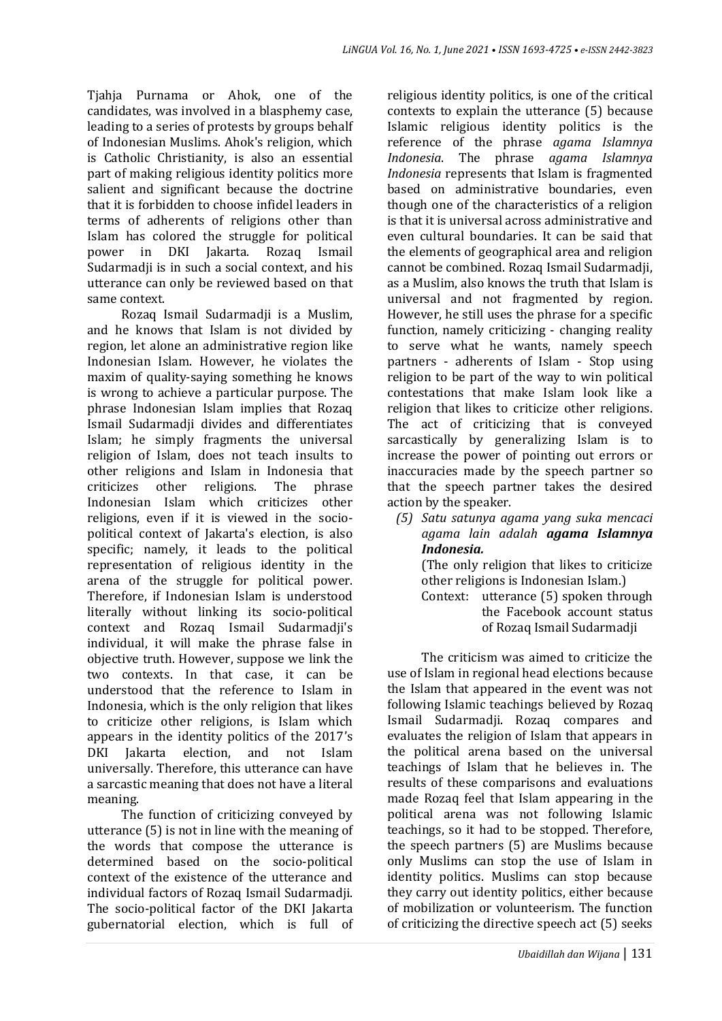Tjahja Purnama or Ahok, one of the candidates, was involved in a blasphemy case, leading to a series of protests by groups behalf of Indonesian Muslims. Ahok's religion, which is Catholic Christianity, is also an essential part of making religious identity politics more salient and significant because the doctrine that it is forbidden to choose infidel leaders in terms of adherents of religions other than Islam has colored the struggle for political power in DKI Jakarta. Rozaq Ismail Sudarmadji is in such a social context, and his utterance can only be reviewed based on that same context.

Rozaq Ismail Sudarmadji is a Muslim, and he knows that Islam is not divided by region, let alone an administrative region like Indonesian Islam. However, he violates the maxim of quality-saying something he knows is wrong to achieve a particular purpose. The phrase Indonesian Islam implies that Rozaq Ismail Sudarmadji divides and differentiates Islam; he simply fragments the universal religion of Islam, does not teach insults to other religions and Islam in Indonesia that criticizes other religions. The phrase Indonesian Islam which criticizes other religions, even if it is viewed in the sociopolitical context of Jakarta's election, is also specific; namely, it leads to the political representation of religious identity in the arena of the struggle for political power. Therefore, if Indonesian Islam is understood literally without linking its socio-political context and Rozaq Ismail Sudarmadji's individual, it will make the phrase false in objective truth. However, suppose we link the two contexts. In that case, it can be understood that the reference to Islam in Indonesia, which is the only religion that likes to criticize other religions, is Islam which appears in the identity politics of the 2017's DKI Jakarta election, and not Islam universally. Therefore, this utterance can have a sarcastic meaning that does not have a literal meaning.

The function of criticizing conveyed by utterance (5) is not in line with the meaning of the words that compose the utterance is determined based on the socio-political context of the existence of the utterance and individual factors of Rozaq Ismail Sudarmadji. The socio-political factor of the DKI Jakarta gubernatorial election, which is full of

religious identity politics, is one of the critical contexts to explain the utterance (5) because Islamic religious identity politics is the reference of the phrase *agama Islamnya Indonesia*. The phrase *agama Islamnya Indonesia* represents that Islam is fragmented based on administrative boundaries, even though one of the characteristics of a religion is that it is universal across administrative and even cultural boundaries. It can be said that the elements of geographical area and religion cannot be combined. Rozaq Ismail Sudarmadji, as a Muslim, also knows the truth that Islam is universal and not fragmented by region. However, he still uses the phrase for a specific function, namely criticizing - changing reality to serve what he wants, namely speech partners - adherents of Islam - Stop using religion to be part of the way to win political contestations that make Islam look like a religion that likes to criticize other religions. The act of criticizing that is conveyed sarcastically by generalizing Islam is to increase the power of pointing out errors or inaccuracies made by the speech partner so that the speech partner takes the desired action by the speaker.

*(5) Satu satunya agama yang suka mencaci agama lain adalah agama Islamnya Indonesia.* (The only religion that likes to criticize other religions is Indonesian Islam.) Context: utterance (5) spoken through the Facebook account status of Rozaq Ismail Sudarmadji

The criticism was aimed to criticize the use of Islam in regional head elections because the Islam that appeared in the event was not following Islamic teachings believed by Rozaq Ismail Sudarmadji. Rozaq compares and evaluates the religion of Islam that appears in the political arena based on the universal teachings of Islam that he believes in. The results of these comparisons and evaluations made Rozaq feel that Islam appearing in the political arena was not following Islamic teachings, so it had to be stopped. Therefore, the speech partners (5) are Muslims because only Muslims can stop the use of Islam in identity politics. Muslims can stop because they carry out identity politics, either because of mobilization or volunteerism. The function of criticizing the directive speech act (5) seeks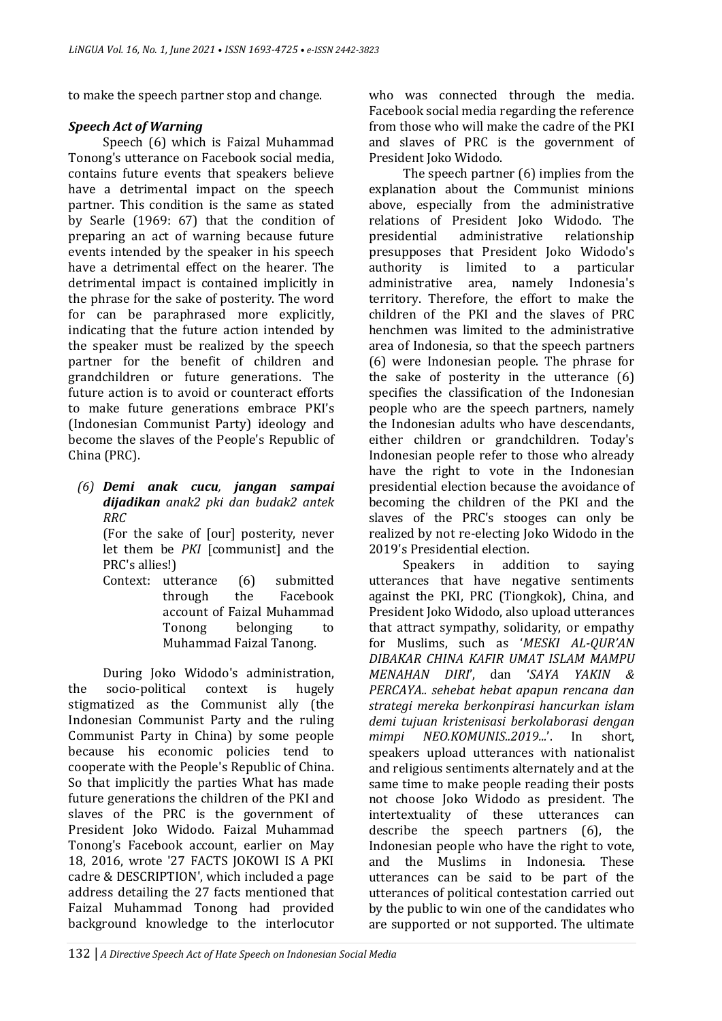to make the speech partner stop and change.

### *Speech Act of Warning*

Speech (6) which is Faizal Muhammad Tonong's utterance on Facebook social media, contains future events that speakers believe have a detrimental impact on the speech partner. This condition is the same as stated by Searle (1969: 67) that the condition of preparing an act of warning because future events intended by the speaker in his speech have a detrimental effect on the hearer. The detrimental impact is contained implicitly in the phrase for the sake of posterity. The word for can be paraphrased more explicitly, indicating that the future action intended by the speaker must be realized by the speech partner for the benefit of children and grandchildren or future generations. The future action is to avoid or counteract efforts to make future generations embrace PKI's (Indonesian Communist Party) ideology and become the slaves of the People's Republic of China (PRC).

*(6) Demi anak cucu, jangan sampai dijadikan anak2 pki dan budak2 antek RRC*

(For the sake of [our] posterity, never let them be *PKI* [communist] and the PRC's allies!)

Context: utterance (6) submitted through the Facebook account of Faizal Muhammad Tonong belonging to Muhammad Faizal Tanong.

During Joko Widodo's administration, the socio-political context is hugely stigmatized as the Communist ally (the Indonesian Communist Party and the ruling Communist Party in China) by some people because his economic policies tend to cooperate with the People's Republic of China. So that implicitly the parties What has made future generations the children of the PKI and slaves of the PRC is the government of President Joko Widodo. Faizal Muhammad Tonong's Facebook account, earlier on May 18, 2016, wrote '27 FACTS JOKOWI IS A PKI cadre & DESCRIPTION', which included a page address detailing the 27 facts mentioned that Faizal Muhammad Tonong had provided background knowledge to the interlocutor

who was connected through the media. Facebook social media regarding the reference from those who will make the cadre of the PKI and slaves of PRC is the government of President Joko Widodo.

The speech partner (6) implies from the explanation about the Communist minions above, especially from the administrative relations of President Joko Widodo. The presidential administrative relationship presupposes that President Joko Widodo's authority is limited to a particular administrative area, namely Indonesia's territory. Therefore, the effort to make the children of the PKI and the slaves of PRC henchmen was limited to the administrative area of Indonesia, so that the speech partners (6) were Indonesian people. The phrase for the sake of posterity in the utterance (6) specifies the classification of the Indonesian people who are the speech partners, namely the Indonesian adults who have descendants, either children or grandchildren. Today's Indonesian people refer to those who already have the right to vote in the Indonesian presidential election because the avoidance of becoming the children of the PKI and the slaves of the PRC's stooges can only be realized by not re-electing Joko Widodo in the 2019's Presidential election.

Speakers in addition to saying utterances that have negative sentiments against the PKI, PRC (Tiongkok), China, and President Joko Widodo, also upload utterances that attract sympathy, solidarity, or empathy for Muslims, such as '*MESKI AL-QUR'AN DIBAKAR CHINA KAFIR UMAT ISLAM MAMPU MENAHAN DIRI*', dan '*SAYA YAKIN & PERCAYA.. sehebat hebat apapun rencana dan strategi mereka berkonpirasi hancurkan islam demi tujuan kristenisasi berkolaborasi dengan mimpi NEO.KOMUNIS..2019...*'. In short, speakers upload utterances with nationalist and religious sentiments alternately and at the same time to make people reading their posts not choose Joko Widodo as president. The intertextuality of these utterances can describe the speech partners (6), the Indonesian people who have the right to vote, and the Muslims in Indonesia. These utterances can be said to be part of the utterances of political contestation carried out by the public to win one of the candidates who are supported or not supported. The ultimate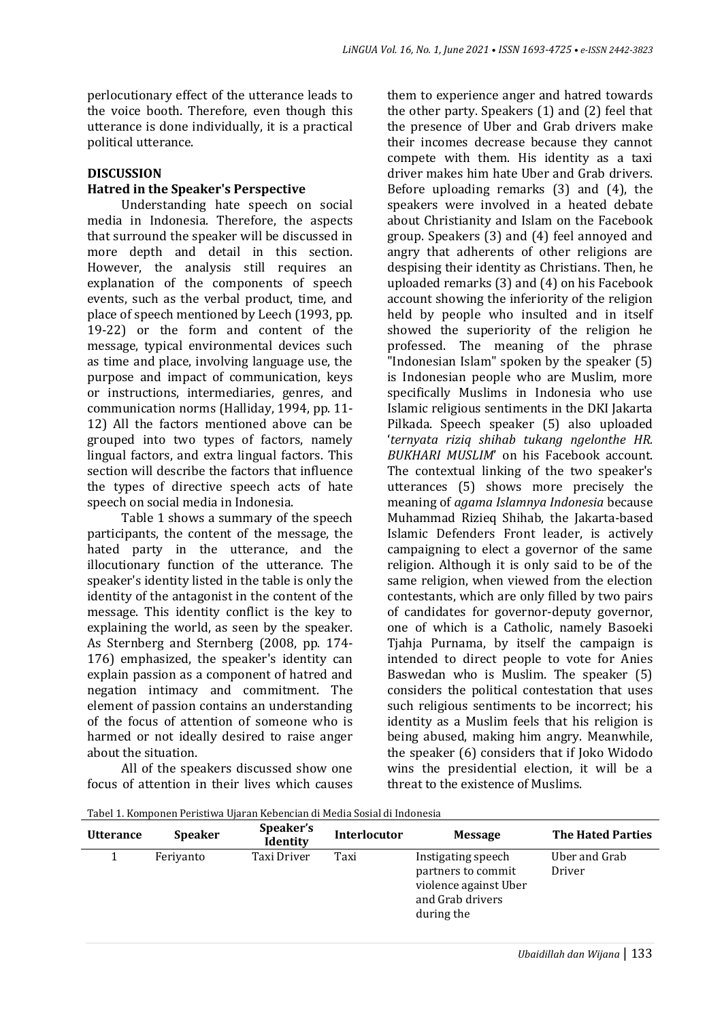perlocutionary effect of the utterance leads to the voice booth. Therefore, even though this utterance is done individually, it is a practical political utterance.

### **DISCUSSION**

### **Hatred in the Speaker's Perspective**

Understanding hate speech on social media in Indonesia. Therefore, the aspects that surround the speaker will be discussed in more depth and detail in this section. However, the analysis still requires an explanation of the components of speech events, such as the verbal product, time, and place of speech mentioned by Leech (1993, pp. 19-22) or the form and content of the message, typical environmental devices such as time and place, involving language use, the purpose and impact of communication, keys or instructions, intermediaries, genres, and communication norms (Halliday, 1994, pp. 11- 12) All the factors mentioned above can be grouped into two types of factors, namely lingual factors, and extra lingual factors. This section will describe the factors that influence the types of directive speech acts of hate speech on social media in Indonesia.

Table 1 shows a summary of the speech participants, the content of the message, the hated party in the utterance, and the illocutionary function of the utterance. The speaker's identity listed in the table is only the identity of the antagonist in the content of the message. This identity conflict is the key to explaining the world, as seen by the speaker. As Sternberg and Sternberg (2008, pp. 174- 176) emphasized, the speaker's identity can explain passion as a component of hatred and negation intimacy and commitment. The element of passion contains an understanding of the focus of attention of someone who is harmed or not ideally desired to raise anger about the situation.

All of the speakers discussed show one focus of attention in their lives which causes them to experience anger and hatred towards the other party. Speakers (1) and (2) feel that the presence of Uber and Grab drivers make their incomes decrease because they cannot compete with them. His identity as a taxi driver makes him hate Uber and Grab drivers. Before uploading remarks (3) and (4), the speakers were involved in a heated debate about Christianity and Islam on the Facebook group. Speakers (3) and (4) feel annoyed and angry that adherents of other religions are despising their identity as Christians. Then, he uploaded remarks (3) and (4) on his Facebook account showing the inferiority of the religion held by people who insulted and in itself showed the superiority of the religion he professed. The meaning of the phrase "Indonesian Islam" spoken by the speaker (5) is Indonesian people who are Muslim, more specifically Muslims in Indonesia who use Islamic religious sentiments in the DKI Jakarta Pilkada. Speech speaker (5) also uploaded '*ternyata riziq shihab tukang ngelonthe HR. BUKHARI MUSLIM*' on his Facebook account. The contextual linking of the two speaker's utterances (5) shows more precisely the meaning of *agama Islamnya Indonesia* because Muhammad Rizieq Shihab, the Jakarta-based Islamic Defenders Front leader, is actively campaigning to elect a governor of the same religion. Although it is only said to be of the same religion, when viewed from the election contestants, which are only filled by two pairs of candidates for governor-deputy governor, one of which is a Catholic, namely Basoeki Tjahja Purnama, by itself the campaign is intended to direct people to vote for Anies Baswedan who is Muslim. The speaker (5) considers the political contestation that uses such religious sentiments to be incorrect; his identity as a Muslim feels that his religion is being abused, making him angry. Meanwhile, the speaker (6) considers that if Joko Widodo wins the presidential election, it will be a threat to the existence of Muslims.

Tabel 1. Komponen Peristiwa Ujaran Kebencian di Media Sosial di Indonesia

| <b>Utterance</b> | <b>Speaker</b> | Speaker's<br><b>Identity</b> | Interlocutor | <b>Message</b>                                                                                      | <b>The Hated Parties</b> |
|------------------|----------------|------------------------------|--------------|-----------------------------------------------------------------------------------------------------|--------------------------|
|                  | Feriyanto      | Taxi Driver                  | Taxi         | Instigating speech<br>partners to commit<br>violence against Uber<br>and Grab drivers<br>during the | Uber and Grab<br>Driver  |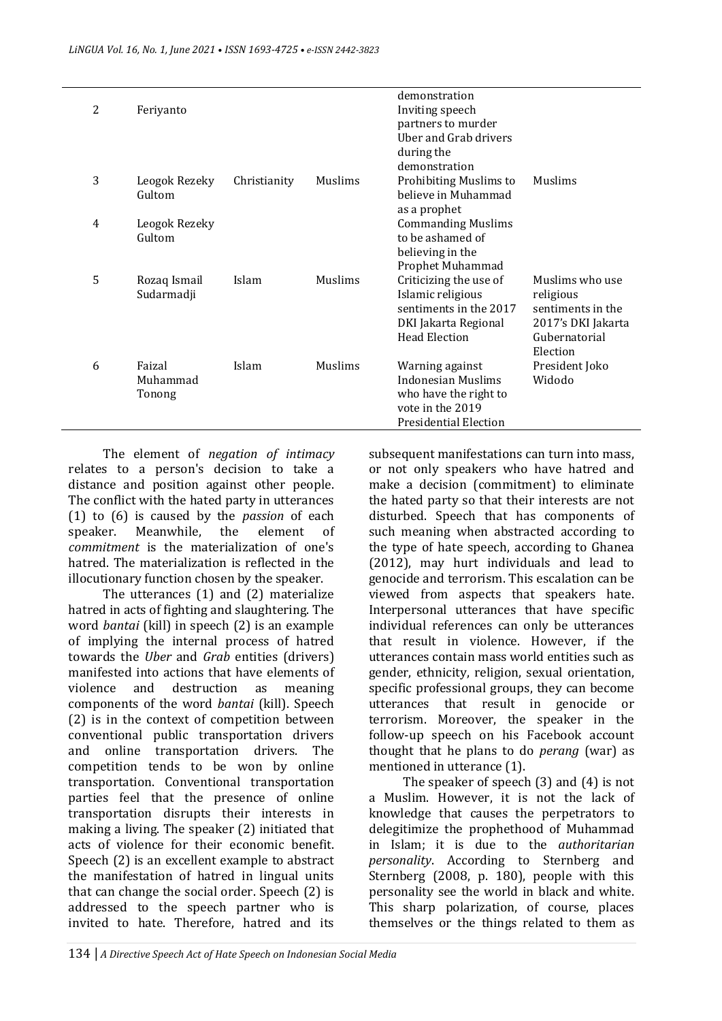| 2 | Feriyanto                    |              |         | demonstration<br>Inviting speech<br>partners to murder<br>Uber and Grab drivers<br>during the<br>demonstration            |                                                                                                      |
|---|------------------------------|--------------|---------|---------------------------------------------------------------------------------------------------------------------------|------------------------------------------------------------------------------------------------------|
| 3 | Leogok Rezeky<br>Gultom      | Christianity | Muslims | Prohibiting Muslims to<br>believe in Muhammad<br>as a prophet                                                             | Muslims                                                                                              |
| 4 | Leogok Rezeky<br>Gultom      |              |         | <b>Commanding Muslims</b><br>to be ashamed of<br>believing in the<br>Prophet Muhammad                                     |                                                                                                      |
| 5 | Rozaq Ismail<br>Sudarmadji   | Islam        | Muslims | Criticizing the use of<br>Islamic religious<br>sentiments in the 2017<br>DKI Jakarta Regional<br><b>Head Election</b>     | Muslims who use<br>religious<br>sentiments in the<br>2017's DKI Jakarta<br>Gubernatorial<br>Election |
| 6 | Faizal<br>Muhammad<br>Tonong | Islam        | Muslims | Warning against<br><b>Indonesian Muslims</b><br>who have the right to<br>vote in the 2019<br><b>Presidential Election</b> | President Joko<br>Widodo                                                                             |

The element of *negation of intimacy* relates to a person's decision to take a distance and position against other people. The conflict with the hated party in utterances (1) to (6) is caused by the *passion* of each speaker. Meanwhile, the element of *commitment* is the materialization of one's hatred. The materialization is reflected in the illocutionary function chosen by the speaker.

The utterances (1) and (2) materialize hatred in acts of fighting and slaughtering. The word *bantai* (kill) in speech (2) is an example of implying the internal process of hatred towards the *Uber* and *Grab* entities (drivers) manifested into actions that have elements of violence and destruction as meaning components of the word *bantai* (kill). Speech (2) is in the context of competition between conventional public transportation drivers and online transportation drivers. The competition tends to be won by online transportation. Conventional transportation parties feel that the presence of online transportation disrupts their interests in making a living. The speaker (2) initiated that acts of violence for their economic benefit. Speech (2) is an excellent example to abstract the manifestation of hatred in lingual units that can change the social order. Speech (2) is addressed to the speech partner who is invited to hate. Therefore, hatred and its

subsequent manifestations can turn into mass, or not only speakers who have hatred and make a decision (commitment) to eliminate the hated party so that their interests are not disturbed. Speech that has components of such meaning when abstracted according to the type of hate speech, according to Ghanea (2012), may hurt individuals and lead to genocide and terrorism. This escalation can be viewed from aspects that speakers hate. Interpersonal utterances that have specific individual references can only be utterances that result in violence. However, if the utterances contain mass world entities such as gender, ethnicity, religion, sexual orientation, specific professional groups, they can become utterances that result in genocide or terrorism. Moreover, the speaker in the follow-up speech on his Facebook account thought that he plans to do *perang* (war) as mentioned in utterance (1).

The speaker of speech (3) and (4) is not a Muslim. However, it is not the lack of knowledge that causes the perpetrators to delegitimize the prophethood of Muhammad in Islam; it is due to the *authoritarian personality*. According to Sternberg and Sternberg (2008, p. 180), people with this personality see the world in black and white. This sharp polarization, of course, places themselves or the things related to them as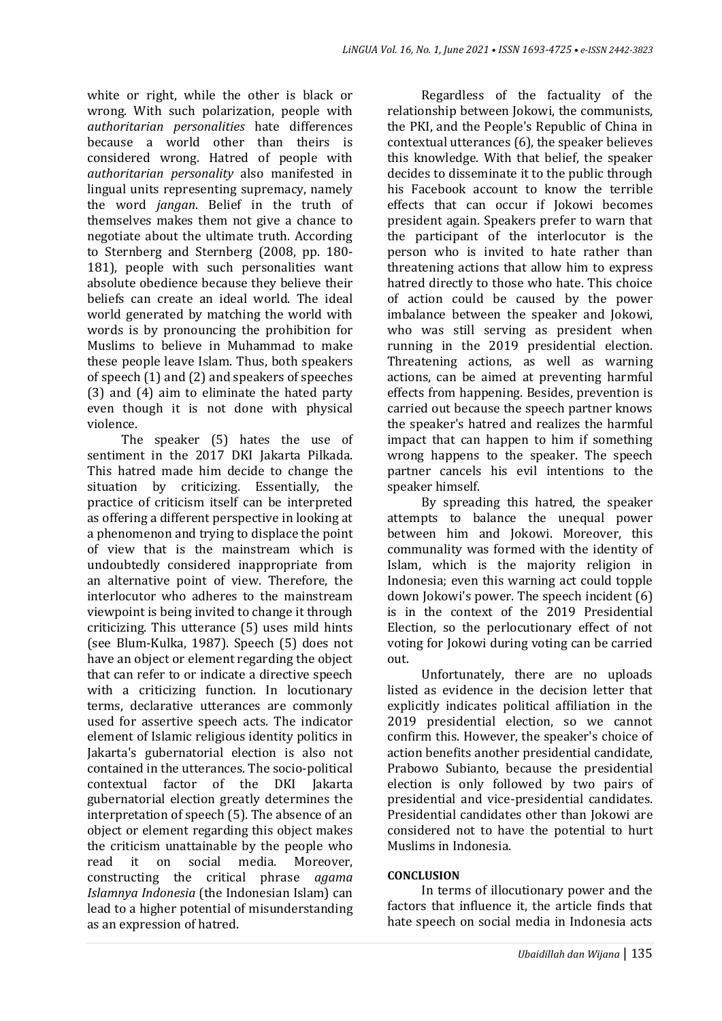white or right, while the other is black or wrong. With such polarization, people with *authoritarian personalities* hate differences because a world other than theirs is considered wrong. Hatred of people with *authoritarian personality* also manifested in lingual units representing supremacy, namely the word *jangan*. Belief in the truth of themselves makes them not give a chance to negotiate about the ultimate truth. According to Sternberg and Sternberg (2008, pp. 180- 181), people with such personalities want absolute obedience because they believe their beliefs can create an ideal world. The ideal world generated by matching the world with words is by pronouncing the prohibition for Muslims to believe in Muhammad to make these people leave Islam. Thus, both speakers of speech (1) and (2) and speakers of speeches (3) and (4) aim to eliminate the hated party even though it is not done with physical violence.

The speaker (5) hates the use of sentiment in the 2017 DKI Jakarta Pilkada. This hatred made him decide to change the situation by criticizing. Essentially, the practice of criticism itself can be interpreted as offering a different perspective in looking at a phenomenon and trying to displace the point of view that is the mainstream which is undoubtedly considered inappropriate from an alternative point of view. Therefore, the interlocutor who adheres to the mainstream viewpoint is being invited to change it through criticizing. This utterance (5) uses mild hints (see Blum-Kulka, 1987). Speech (5) does not have an object or element regarding the object that can refer to or indicate a directive speech with a criticizing function. In locutionary terms, declarative utterances are commonly used for assertive speech acts. The indicator element of Islamic religious identity politics in Jakarta's gubernatorial election is also not contained in the utterances. The socio-political contextual factor of the DKI Jakarta gubernatorial election greatly determines the interpretation of speech (5). The absence of an object or element regarding this object makes the criticism unattainable by the people who read it on social media. Moreover, constructing the critical phrase *agama Islamnya Indonesia* (the Indonesian Islam) can lead to a higher potential of misunderstanding as an expression of hatred.

Regardless of the factuality of the relationship between Jokowi, the communists, the PKI, and the People's Republic of China in contextual utterances (6), the speaker believes this knowledge. With that belief, the speaker decides to disseminate it to the public through his Facebook account to know the terrible effects that can occur if Jokowi becomes president again. Speakers prefer to warn that the participant of the interlocutor is the person who is invited to hate rather than threatening actions that allow him to express hatred directly to those who hate. This choice of action could be caused by the power imbalance between the speaker and Jokowi, who was still serving as president when running in the 2019 presidential election. Threatening actions, as well as warning actions, can be aimed at preventing harmful effects from happening. Besides, prevention is carried out because the speech partner knows the speaker's hatred and realizes the harmful impact that can happen to him if something wrong happens to the speaker. The speech partner cancels his evil intentions to the speaker himself.

By spreading this hatred, the speaker attempts to balance the unequal power between him and Jokowi. Moreover, this communality was formed with the identity of Islam, which is the majority religion in Indonesia; even this warning act could topple down Jokowi's power. The speech incident (6) is in the context of the 2019 Presidential Election, so the perlocutionary effect of not voting for Jokowi during voting can be carried out.

Unfortunately, there are no uploads listed as evidence in the decision letter that explicitly indicates political affiliation in the 2019 presidential election, so we cannot confirm this. However, the speaker's choice of action benefits another presidential candidate, Prabowo Subianto, because the presidential election is only followed by two pairs of presidential and vice-presidential candidates. Presidential candidates other than Jokowi are considered not to have the potential to hurt Muslims in Indonesia.

### **CONCLUSION**

In terms of illocutionary power and the factors that influence it, the article finds that hate speech on social media in Indonesia acts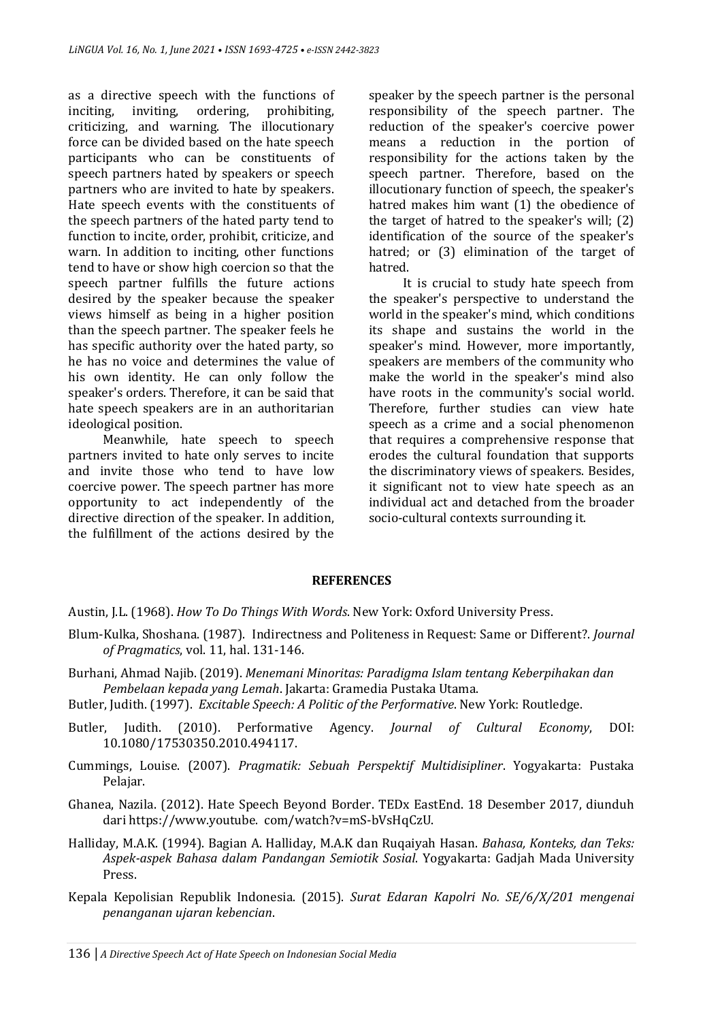as a directive speech with the functions of inciting, inviting, ordering, prohibiting, criticizing, and warning. The illocutionary force can be divided based on the hate speech participants who can be constituents of speech partners hated by speakers or speech partners who are invited to hate by speakers. Hate speech events with the constituents of the speech partners of the hated party tend to function to incite, order, prohibit, criticize, and warn. In addition to inciting, other functions tend to have or show high coercion so that the speech partner fulfills the future actions desired by the speaker because the speaker views himself as being in a higher position than the speech partner. The speaker feels he has specific authority over the hated party, so he has no voice and determines the value of his own identity. He can only follow the speaker's orders. Therefore, it can be said that hate speech speakers are in an authoritarian ideological position.

Meanwhile, hate speech to speech partners invited to hate only serves to incite and invite those who tend to have low coercive power. The speech partner has more opportunity to act independently of the directive direction of the speaker. In addition, the fulfillment of the actions desired by the

speaker by the speech partner is the personal responsibility of the speech partner. The reduction of the speaker's coercive power means a reduction in the portion of responsibility for the actions taken by the speech partner. Therefore, based on the illocutionary function of speech, the speaker's hatred makes him want (1) the obedience of the target of hatred to the speaker's will; (2) identification of the source of the speaker's hatred; or (3) elimination of the target of hatred.

It is crucial to study hate speech from the speaker's perspective to understand the world in the speaker's mind, which conditions its shape and sustains the world in the speaker's mind. However, more importantly, speakers are members of the community who make the world in the speaker's mind also have roots in the community's social world. Therefore, further studies can view hate speech as a crime and a social phenomenon that requires a comprehensive response that erodes the cultural foundation that supports the discriminatory views of speakers. Besides, it significant not to view hate speech as an individual act and detached from the broader socio-cultural contexts surrounding it.

#### **REFERENCES**

Austin, J.L. (1968). *How To Do Things With Words*. New York: Oxford University Press.

- Blum-Kulka, Shoshana. (1987). Indirectness and Politeness in Request: Same or Different?. *Journal of Pragmatics*, vol. 11, hal. 131-146.
- Burhani, Ahmad Najib. (2019). *Menemani Minoritas: Paradigma Islam tentang Keberpihakan dan Pembelaan kepada yang Lemah*. Jakarta: Gramedia Pustaka Utama.
- Butler, Judith. (1997). *Excitable Speech: A Politic of the Performative*. New York: Routledge.
- Butler, Judith. (2010). Performative Agency. *Journal of Cultural Economy*, DOI: 10.1080/17530350.2010.494117.
- Cummings, Louise. (2007). *Pragmatik: Sebuah Perspektif Multidisipliner*. Yogyakarta: Pustaka Pelajar.
- Ghanea, Nazila. (2012). Hate Speech Beyond Border. TEDx EastEnd. 18 Desember 2017, diunduh dari https://www.youtube. com/watch?v=mS-bVsHqCzU.
- Halliday, M.A.K. (1994). Bagian A. Halliday, M.A.K dan Ruqaiyah Hasan. *Bahasa, Konteks, dan Teks: Aspek-aspek Bahasa dalam Pandangan Semiotik Sosial*. Yogyakarta: Gadjah Mada University Press.
- Kepala Kepolisian Republik Indonesia. (2015). *Surat Edaran Kapolri No. SE/6/X/201 mengenai penanganan ujaran kebencian*.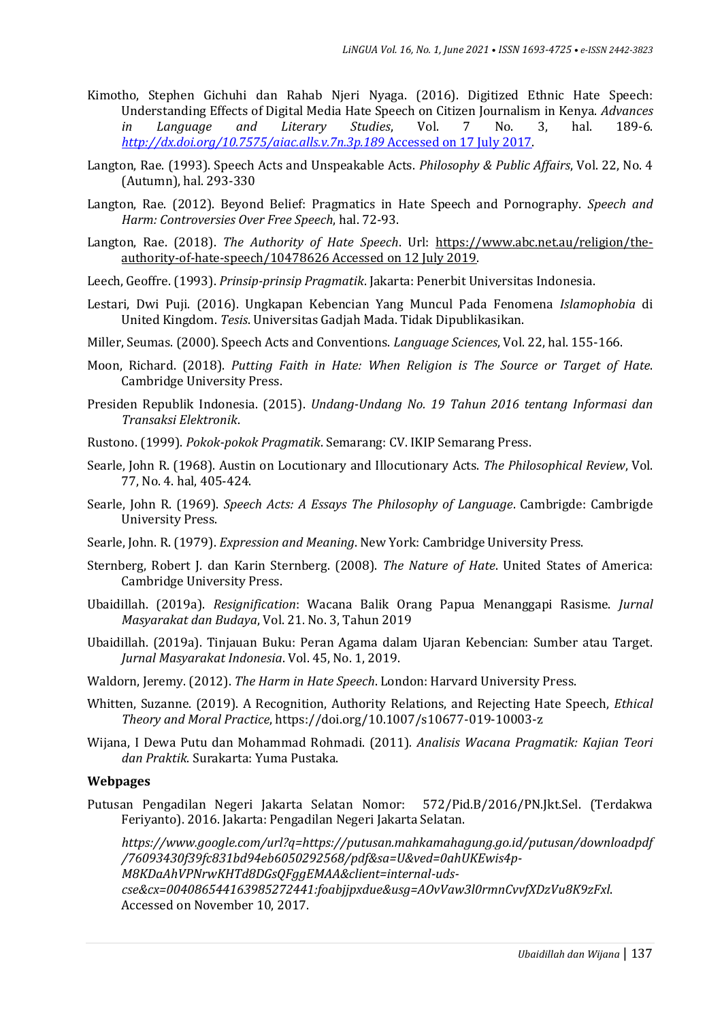- Kimotho, Stephen Gichuhi dan Rahab Njeri Nyaga. (2016). Digitized Ethnic Hate Speech: Understanding Effects of Digital Media Hate Speech on Citizen Journalism in Kenya. *Advances in Language and Literary Studies*, Vol. 7 No. 3, hal. 189-6. *[http://dx.doi.org/10.7575/aiac.alls.v.7n.3p.189](http://dx.doi.org/10.7575/aiac.alls.v.7n.3p.189%20Accessed%20on%2017%20July%202017)* Accessed on 17 July 2017.
- Langton, Rae. (1993). Speech Acts and Unspeakable Acts. *Philosophy & Public Affairs*, Vol. 22, No. 4 (Autumn), hal. 293-330
- Langton, Rae. (2012). Beyond Belief: Pragmatics in Hate Speech and Pornography. *Speech and Harm: Controversies Over Free Speech*, hal. 72-93.
- Langton, Rae. (2018). *The Authority of Hate Speech*. Url: [https://www.abc.net.au/religion/the](https://www.abc.net.au/religion/the-authority-of-hate-speech/10478626%20diakses%2012%20Juli%202019)[authority-of-hate-speech/10478626 Accessed on](https://www.abc.net.au/religion/the-authority-of-hate-speech/10478626%20diakses%2012%20Juli%202019) 12 July 2019.
- Leech, Geoffre. (1993). *Prinsip-prinsip Pragmatik*. Jakarta: Penerbit Universitas Indonesia.
- Lestari, Dwi Puji. (2016). Ungkapan Kebencian Yang Muncul Pada Fenomena *Islamophobia* di United Kingdom. *Tesis*. Universitas Gadjah Mada. Tidak Dipublikasikan.
- Miller, Seumas. (2000). Speech Acts and Conventions. *Language Sciences*, Vol. 22, hal. 155-166.
- Moon, Richard. (2018). *Putting Faith in Hate: When Religion is The Source or Target of Hate*. Cambridge University Press.
- Presiden Republik Indonesia. (2015). *Undang-Undang No. 19 Tahun 2016 tentang Informasi dan Transaksi Elektronik*.
- Rustono. (1999). *Pokok-pokok Pragmatik*. Semarang: CV. IKIP Semarang Press.
- Searle, John R. (1968). Austin on Locutionary and Illocutionary Acts. *The Philosophical Review*, Vol. 77, No. 4. hal, 405-424.
- Searle, John R. (1969). *Speech Acts: A Essays The Philosophy of Language*. Cambrigde: Cambrigde University Press.
- Searle, John. R. (1979). *Expression and Meaning*. New York: Cambridge University Press.
- Sternberg, Robert J. dan Karin Sternberg. (2008). *The Nature of Hate*. United States of America: Cambridge University Press.
- Ubaidillah. (2019a). *Resignification*: Wacana Balik Orang Papua Menanggapi Rasisme. *Jurnal Masyarakat dan Budaya*, Vol. 21. No. 3, Tahun 2019
- Ubaidillah. (2019a). Tinjauan Buku: Peran Agama dalam Ujaran Kebencian: Sumber atau Target. *Jurnal Masyarakat Indonesia*. Vol. 45, No. 1, 2019.
- Waldorn, Jeremy. (2012). *The Harm in Hate Speech*. London: Harvard University Press.
- Whitten, Suzanne. (2019). A Recognition, Authority Relations, and Rejecting Hate Speech, *Ethical Theory and Moral Practice*, https://doi.org/10.1007/s10677-019-10003-z
- Wijana, I Dewa Putu dan Mohammad Rohmadi. (2011)*. Analisis Wacana Pragmatik: Kajian Teori dan Praktik*. Surakarta: Yuma Pustaka.

#### **Webpages**

Putusan Pengadilan Negeri Jakarta Selatan Nomor: 572/Pid.B/2016/PN.Jkt.Sel. (Terdakwa Feriyanto). 2016. Jakarta: Pengadilan Negeri Jakarta Selatan.

*https://www.google.com/url?q=https://putusan.mahkamahagung.go.id/putusan/downloadpdf /76093430f39fc831bd94eb6050292568/pdf&sa=U&ved=0ahUKEwis4p-M8KDaAhVPNrwKHTd8DGsQFggEMAA&client=internal-udscse&cx=004086544163985272441:foabjjpxdue&usg=AOvVaw3l0rmnCvvfXDzVu8K9zFxl*. Accessed on November 10, 2017.